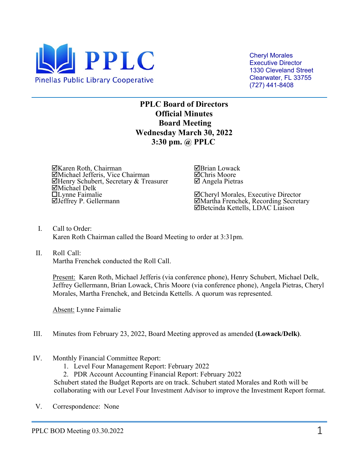

 Clearwater, FL 33755 Cheryl Morales Executive Director 1330 Cleveland Street (727) 441-8408

**PPLC Board of Directors Official Minutes Board Meeting Wednesday March 30, 2022 3:30 pm. @ PPLC** 

⊠Karen Roth, Chairman<br>⊠Michael Jefferis, Vice Chairman Henry Schubert, Secretary & Treasurer Michael Delk Lynne Faimalie Jeffrey P. Gellermann

Brian Lowack Chris Moore Angela Pietras

**ØCheryl Morales, Executive Director**<br>**ØMartha Frenchek, Recording Secretary**<br>**ØBetcinda Kettells, LDAC Liaison** 

I. Call to Order: Karen Roth Chairman called the Board Meeting to order at 3:31pm.

# II. Roll Call:

Martha Frenchek conducted the Roll Call.

Present: Karen Roth, Michael Jefferis (via conference phone), Henry Schubert, Michael Delk, Jeffrey Gellermann, Brian Lowack, Chris Moore (via conference phone), Angela Pietras, Cheryl Morales, Martha Frenchek, and Betcinda Kettells. A quorum was represented.

Absent: Lynne Faimalie

- III. Minutes from February 23, 2022, Board Meeting approved as amended **(Lowack/Delk)**.
- IV. Monthly Financial Committee Report:
	- 1. Level Four Management Report: February 2022

2. PDR Account Accounting Financial Report: February 2022

Schubert stated the Budget Reports are on track. Schubert stated Morales and Roth will be collaborating with our Level Four Investment Advisor to improve the Investment Report format.

V. Correspondence: None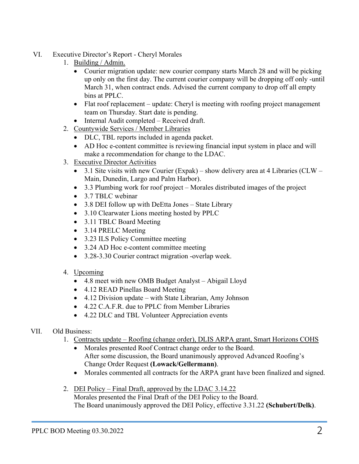- VI. Executive Director's Report Cheryl Morales
	- 1. Building / Admin.
		- • Courier migration update: new courier company starts March 28 and will be picking up only on the first day. The current courier company will be dropping off only -until March 31, when contract ends. Advised the current company to drop off all empty bins at PPLC.
		- • Flat roof replacement update: Cheryl is meeting with roofing project management team on Thursday. Start date is pending.
		- Internal Audit completed Received draft.
	- 2. Countywide Services / Member Libraries
		- DLC, TBL reports included in agenda packet.
		- • AD Hoc e-content committee is reviewing financial input system in place and will make a recommendation for change to the LDAC.
	- 3. Executive Director Activities
		- 3.1 Site visits with new Courier (Expak) show delivery area at 4 Libraries (CLW Main, Dunedin, Largo and Palm Harbor).
		- 3.3 Plumbing work for roof project Morales distributed images of the project
		- 3.7 TBLC webinar
		- 3.8 DEI follow up with DeEtta Jones State Library
		- 3.10 Clearwater Lions meeting hosted by PPLC
		- 3.11 TBLC Board Meeting
		- 3.14 PRELC Meeting
		- 3.23 ILS Policy Committee meeting
		- 3.24 AD Hoc e-content committee meeting
		- 3.28-3.30 Courier contract migration -overlap week.
	- 4. Upcoming
		- 4.8 meet with new OMB Budget Analyst Abigail Lloyd
		- 4.12 READ Pinellas Board Meeting
		- 4.12 Division update with State Librarian, Amy Johnson
		- 4.22 C.A.F.R. due to PPLC from Member Libraries
- 4.22 DLC and TBL Volunteer Appreciation events<br>VII. Old Business:

- 1. Contracts update Roofing (change order), DLIS ARPA grant, Smart Horizons COHS
	- After some discussion, the Board unanimously approved Advanced Roofing's Change Order Request **(Lowack/Gellermann)**. • Morales presented Roof Contract change order to the Board.
	- Morales commented all contracts for the ARPA grant have been finalized and signed.
- 2. DEI Policy Final Draft, approved by the LDAC 3.14.22 Morales presented the Final Draft of the DEI Policy to the Board. The Board unanimously approved the DEI Policy, effective 3.31.22 **(Schubert/Delk)**.